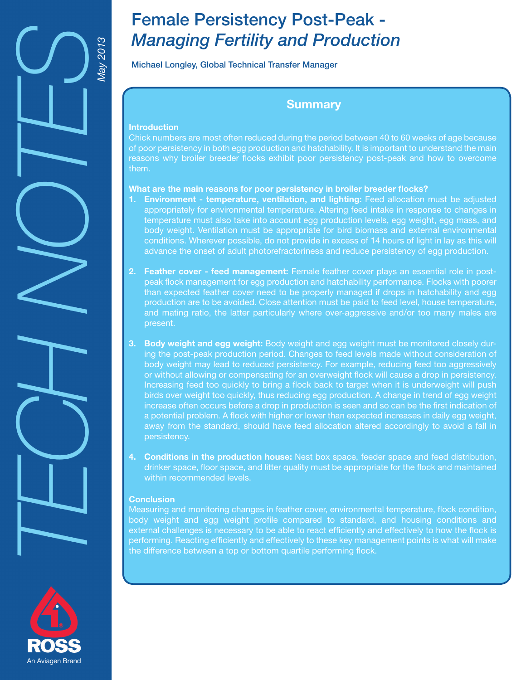

# Female Persistency Post-Peak - *Managing Fertility and Production*

## Michael Longley, Global Technical Transfer Manager

# **Summary**

#### **Introduction**

Chick numbers are most often reduced during the period between 40 to 60 weeks of age because of poor persistency in both egg production and hatchability. It is important to understand the main reasons why broiler breeder flocks exhibit poor persistency post-peak and how to overcome them.

#### **What are the main reasons for poor persistency in broiler breeder flocks?**

- **1. Environment temperature, ventilation, and lighting:** Feed allocation must be adjusted appropriately for environmental temperature. Altering feed intake in response to changes in temperature must also take into account egg production levels, egg weight, egg mass, and body weight. Ventilation must be appropriate for bird biomass and external environmental conditions. Wherever possible, do not provide in excess of 14 hours of light in lay as this will advance the onset of adult photorefractoriness and reduce persistency of egg production.
- **2. Feather cover feed management:** Female feather cover plays an essential role in postpeak flock management for egg production and hatchability performance. Flocks with poorer than expected feather cover need to be properly managed if drops in hatchability and egg production are to be avoided. Close attention must be paid to feed level, house temperature, and mating ratio, the latter particularly where over-aggressive and/or too many males are present.
- **3. Body weight and egg weight:** Body weight and egg weight must be monitored closely during the post-peak production period. Changes to feed levels made without consideration of body weight may lead to reduced persistency. For example, reducing feed too aggressively or without allowing or compensating for an overweight flock will cause a drop in persistency. Increasing feed too quickly to bring a flock back to target when it is underweight will push birds over weight too quickly, thus reducing egg production. A change in trend of egg weight increase often occurs before a drop in production is seen and so can be the first indication of a potential problem. A flock with higher or lower than expected increases in daily egg weight, away from the standard, should have feed allocation altered accordingly to avoid a fall in persistency.
- **4. Conditions in the production house:** Nest box space, feeder space and feed distribution, drinker space, floor space, and litter quality must be appropriate for the flock and maintained within recommended levels.

#### **Conclusion**

Measuring and monitoring changes in feather cover, environmental temperature, flock condition, body weight and egg weight profile compared to standard, and housing conditions and external challenges is necessary to be able to react efficiently and effectively to how the flock is performing. Reacting efficiently and effectively to these key management points is what will make the difference between a top or bottom quartile performing flock.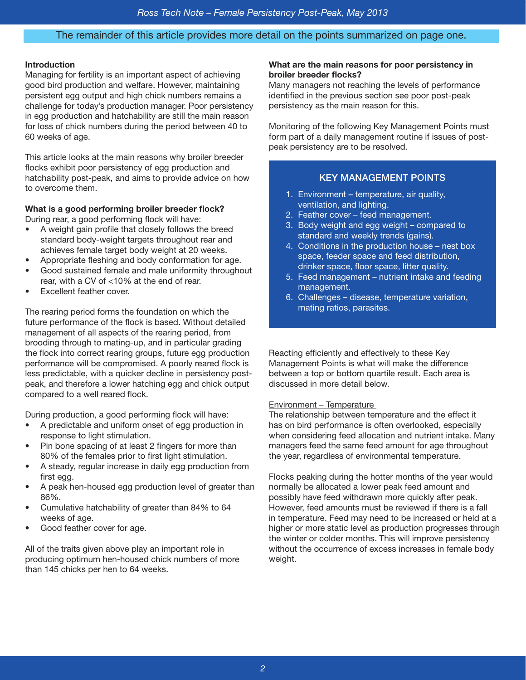#### The remainder of this article provides more detail on the points summarized on page one.

#### **Introduction**

Managing for fertility is an important aspect of achieving good bird production and welfare. However, maintaining persistent egg output and high chick numbers remains a challenge for today's production manager. Poor persistency in egg production and hatchability are still the main reason for loss of chick numbers during the period between 40 to 60 weeks of age.

This article looks at the main reasons why broiler breeder flocks exhibit poor persistency of egg production and hatchability post-peak, and aims to provide advice on how to overcome them.

#### **What is a good performing broiler breeder flock?**

During rear, a good performing flock will have:

- A weight gain profile that closely follows the breed standard body-weight targets throughout rear and achieves female target body weight at 20 weeks.
- Appropriate fleshing and body conformation for age.
- Good sustained female and male uniformity throughout rear, with a CV of <10% at the end of rear.
- Excellent feather cover.

The rearing period forms the foundation on which the future performance of the flock is based. Without detailed management of all aspects of the rearing period, from brooding through to mating-up, and in particular grading the flock into correct rearing groups, future egg production performance will be compromised. A poorly reared flock is less predictable, with a quicker decline in persistency postpeak, and therefore a lower hatching egg and chick output compared to a well reared flock.

During production, a good performing flock will have:

- A predictable and uniform onset of egg production in response to light stimulation.
- Pin bone spacing of at least 2 fingers for more than 80% of the females prior to first light stimulation.
- A steady, regular increase in daily egg production from first egg.
- A peak hen-housed egg production level of greater than 86%.
- Cumulative hatchability of greater than 84% to 64 weeks of age.
- Good feather cover for age.

All of the traits given above play an important role in producing optimum hen-housed chick numbers of more than 145 chicks per hen to 64 weeks.

#### **What are the main reasons for poor persistency in broiler breeder flocks?**

Many managers not reaching the levels of performance identified in the previous section see poor post-peak persistency as the main reason for this.

Monitoring of the following Key Management Points must form part of a daily management routine if issues of postpeak persistency are to be resolved.

#### KEY MANAGEMENT POINTS

- 1. Environment temperature, air quality, ventilation, and lighting.
- 2. Feather cover feed management.
- 3. Body weight and egg weight compared to standard and weekly trends (gains).
- 4. Conditions in the production house nest box space, feeder space and feed distribution, drinker space, floor space, litter quality.
- 5. Feed management nutrient intake and feeding management.
- 6. Challenges disease, temperature variation, mating ratios, parasites.

Reacting efficiently and effectively to these Key Management Points is what will make the difference between a top or bottom quartile result. Each area is discussed in more detail below.

#### Environment – Temperature

The relationship between temperature and the effect it has on bird performance is often overlooked, especially when considering feed allocation and nutrient intake. Many managers feed the same feed amount for age throughout the year, regardless of environmental temperature.

Flocks peaking during the hotter months of the year would normally be allocated a lower peak feed amount and possibly have feed withdrawn more quickly after peak. However, feed amounts must be reviewed if there is a fall in temperature. Feed may need to be increased or held at a higher or more static level as production progresses through the winter or colder months. This will improve persistency without the occurrence of excess increases in female body weight.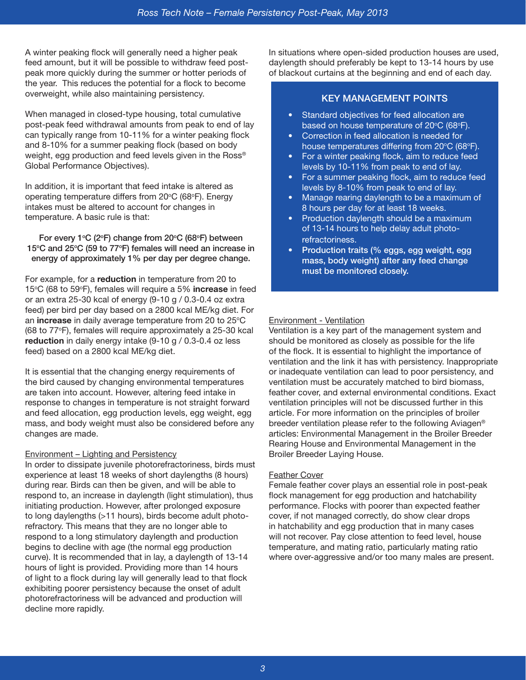A winter peaking flock will generally need a higher peak feed amount, but it will be possible to withdraw feed postpeak more quickly during the summer or hotter periods of the year. This reduces the potential for a flock to become overweight, while also maintaining persistency.

When managed in closed-type housing, total cumulative post-peak feed withdrawal amounts from peak to end of lay can typically range from 10-11% for a winter peaking flock and 8-10% for a summer peaking flock (based on body weight, egg production and feed levels given in the Ross® Global Performance Objectives).

In addition, it is important that feed intake is altered as operating temperature differs from  $20^{\circ}$ C (68 $^{\circ}$ F). Energy intakes must be altered to account for changes in temperature. A basic rule is that:

For every 1 $\degree$ C (2 $\degree$ F) change from 20 $\degree$ C (68 $\degree$ F) between 15°C and 25°C (59 to 77°F) females will need an increase in energy of approximately 1% per day per degree change.

For example, for a **reduction** in temperature from 20 to 15°C (68 to 59°F), females will require a 5% **increase** in feed or an extra 25-30 kcal of energy (9-10 g / 0.3-0.4 oz extra feed) per bird per day based on a 2800 kcal ME/kg diet. For an **increase** in daily average temperature from 20 to 25°C (68 to 77°F), females will require approximately a 25-30 kcal **reduction** in daily energy intake (9-10 g / 0.3-0.4 oz less feed) based on a 2800 kcal ME/kg diet.

It is essential that the changing energy requirements of the bird caused by changing environmental temperatures are taken into account. However, altering feed intake in response to changes in temperature is not straight forward and feed allocation, egg production levels, egg weight, egg mass, and body weight must also be considered before any changes are made.

#### Environment – Lighting and Persistency

In order to dissipate juvenile photorefractoriness, birds must experience at least 18 weeks of short daylengths (8 hours) during rear. Birds can then be given, and will be able to respond to, an increase in daylength (light stimulation), thus initiating production. However, after prolonged exposure to long daylengths (>11 hours), birds become adult photorefractory. This means that they are no longer able to respond to a long stimulatory daylength and production begins to decline with age (the normal egg production curve). It is recommended that in lay, a daylength of 13-14 hours of light is provided. Providing more than 14 hours of light to a flock during lay will generally lead to that flock exhibiting poorer persistency because the onset of adult photorefractoriness will be advanced and production will decline more rapidly.

In situations where open-sided production houses are used, daylength should preferably be kept to 13-14 hours by use of blackout curtains at the beginning and end of each day.

## KEY MANAGEMENT POINTS

- Standard objectives for feed allocation are based on house temperature of  $20^{\circ}C$  (68 $^{\circ}F$ ).
- Correction in feed allocation is needed for house temperatures differing from 20°C (68°F).
- For a winter peaking flock, aim to reduce feed levels by 10-11% from peak to end of lay.
- For a summer peaking flock, aim to reduce feed levels by 8-10% from peak to end of lay.
- Manage rearing daylength to be a maximum of 8 hours per day for at least 18 weeks.
- Production daylength should be a maximum of 13-14 hours to help delay adult photorefractoriness.
- Production traits (% eggs, egg weight, egg mass, body weight) after any feed change must be monitored closely.

#### Environment - Ventilation

Ventilation is a key part of the management system and should be monitored as closely as possible for the life of the flock. It is essential to highlight the importance of ventilation and the link it has with persistency. Inappropriate or inadequate ventilation can lead to poor persistency, and ventilation must be accurately matched to bird biomass, feather cover, and external environmental conditions. Exact ventilation principles will not be discussed further in this article. For more information on the principles of broiler breeder ventilation please refer to the following Aviagen® articles: Environmental Management in the Broiler Breeder Rearing House and Environmental Management in the Broiler Breeder Laying House.

#### Feather Cover

Female feather cover plays an essential role in post-peak flock management for egg production and hatchability performance. Flocks with poorer than expected feather cover, if not managed correctly, do show clear drops in hatchability and egg production that in many cases will not recover. Pay close attention to feed level, house temperature, and mating ratio, particularly mating ratio where over-aggressive and/or too many males are present.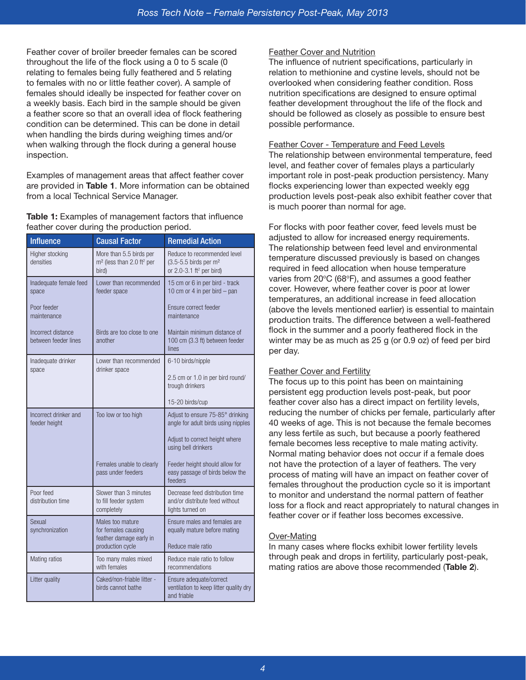Feather cover of broiler breeder females can be scored throughout the life of the flock using a 0 to 5 scale (0 relating to females being fully feathered and 5 relating to females with no or little feather cover). A sample of females should ideally be inspected for feather cover on a weekly basis. Each bird in the sample should be given a feather score so that an overall idea of flock feathering condition can be determined. This can be done in detail when handling the birds during weighing times and/or when walking through the flock during a general house inspection.

Examples of management areas that affect feather cover are provided in **Table 1**. More information can be obtained from a local Technical Service Manager.

**Table 1:** Examples of management factors that influence feather cover during the production period.

| <b>Influence</b>                           | <b>Causal Factor</b>                                                                  | <b>Remedial Action</b>                                                                                            |  |
|--------------------------------------------|---------------------------------------------------------------------------------------|-------------------------------------------------------------------------------------------------------------------|--|
| Higher stocking<br>densities               | More than 5.5 birds per<br>m <sup>2</sup> (less than 2.0 ft <sup>2</sup> per<br>bird) | Reduce to recommended level<br>$(3.5 - 5.5)$ birds per m <sup>2</sup><br>or $2.0 - 3.1$ ft <sup>2</sup> per bird) |  |
| Inadequate female feed<br>space            | Lower than recommended<br>feeder space                                                | 15 cm or 6 in per bird - track<br>10 cm or 4 in per bird $-$ pan                                                  |  |
| Poor feeder<br>maintenance                 |                                                                                       | Ensure correct feeder<br>maintenance                                                                              |  |
| Incorrect distance<br>between feeder lines | Birds are too close to one<br>another                                                 | Maintain minimum distance of<br>100 cm (3.3 ft) between feeder<br>lines                                           |  |
| Inadequate drinker<br>space                | Lower than recommended<br>drinker space                                               | 6-10 birds/nipple                                                                                                 |  |
|                                            |                                                                                       | 2.5 cm or 1.0 in per bird round/<br>trough drinkers                                                               |  |
|                                            |                                                                                       | 15-20 birds/cup                                                                                                   |  |
| Incorrect drinker and<br>feeder height     | Too low or too high                                                                   | Adjust to ensure 75-85° drinking<br>angle for adult birds using nipples                                           |  |
|                                            |                                                                                       | Adjust to correct height where<br>using bell drinkers                                                             |  |
|                                            | Females unable to clearly<br>pass under feeders                                       | Feeder height should allow for<br>easy passage of birds below the<br>feeders                                      |  |
| Poor feed<br>distribution time             | Slower than 3 minutes<br>to fill feeder system<br>completely                          | Decrease feed distribution time<br>and/or distribute feed without<br>lights turned on                             |  |
| Sexual<br>synchronization                  | Males too mature<br>for females causing                                               | Ensure males and females are<br>equally mature before mating                                                      |  |
|                                            | feather damage early in<br>production cycle                                           | Reduce male ratio                                                                                                 |  |
| Mating ratios                              | Too many males mixed<br>with females                                                  | Reduce male ratio to follow<br>recommendations                                                                    |  |
| Litter quality                             | Caked/non-friable litter -<br>birds cannot bathe                                      | Ensure adequate/correct<br>ventilation to keep litter quality dry<br>and friable                                  |  |

#### Feather Cover and Nutrition

The influence of nutrient specifications, particularly in relation to methionine and cystine levels, should not be overlooked when considering feather condition. Ross nutrition specifications are designed to ensure optimal feather development throughout the life of the flock and should be followed as closely as possible to ensure best possible performance.

#### Feather Cover - Temperature and Feed Levels

The relationship between environmental temperature, feed level, and feather cover of females plays a particularly important role in post-peak production persistency. Many flocks experiencing lower than expected weekly egg production levels post-peak also exhibit feather cover that is much poorer than normal for age.

For flocks with poor feather cover, feed levels must be adjusted to allow for increased energy requirements. The relationship between feed level and environmental temperature discussed previously is based on changes required in feed allocation when house temperature varies from 20°C (68°F), and assumes a good feather cover. However, where feather cover is poor at lower temperatures, an additional increase in feed allocation (above the levels mentioned earlier) is essential to maintain production traits. The difference between a well-feathered flock in the summer and a poorly feathered flock in the winter may be as much as 25 g (or 0.9 oz) of feed per bird per day.

#### Feather Cover and Fertility

The focus up to this point has been on maintaining persistent egg production levels post-peak, but poor feather cover also has a direct impact on fertility levels, reducing the number of chicks per female, particularly after 40 weeks of age. This is not because the female becomes any less fertile as such, but because a poorly feathered female becomes less receptive to male mating activity. Normal mating behavior does not occur if a female does not have the protection of a layer of feathers. The very process of mating will have an impact on feather cover of females throughout the production cycle so it is important to monitor and understand the normal pattern of feather loss for a flock and react appropriately to natural changes in feather cover or if feather loss becomes excessive.

#### Over-Mating

In many cases where flocks exhibit lower fertility levels through peak and drops in fertility, particularly post-peak, mating ratios are above those recommended (**Table 2**).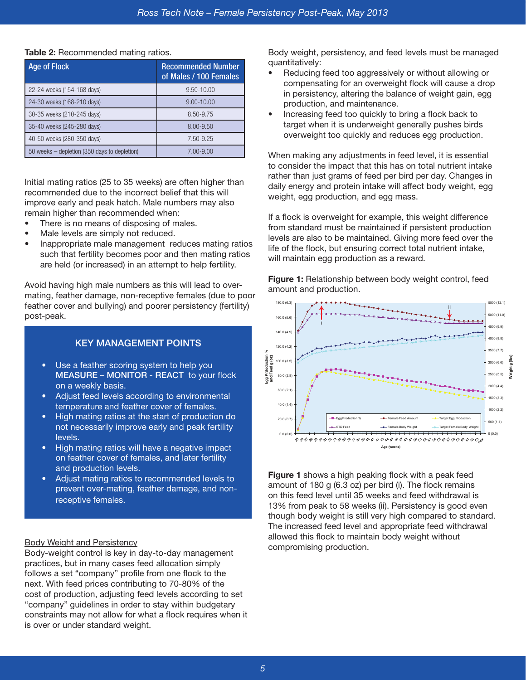| Age of Flock                                 | <b>Recommended Number</b><br>of Males / 100 Females |  |  |
|----------------------------------------------|-----------------------------------------------------|--|--|
| 22-24 weeks (154-168 days)                   | 9.50-10.00                                          |  |  |
| 24-30 weeks (168-210 days)                   | $9.00 - 10.00$                                      |  |  |
| 30-35 weeks (210-245 days)                   | 8.50-9.75                                           |  |  |
| 35-40 weeks (245-280 days)                   | 8.00-9.50                                           |  |  |
| 40-50 weeks (280-350 days)                   | 7.50-9.25                                           |  |  |
| 50 weeks – depletion (350 days to depletion) | 7.00-9.00                                           |  |  |

#### **Table 2: Recommended mating ratios.**

Initial mating ratios (25 to 35 weeks) are often higher than recommended due to the incorrect belief that this will improve early and peak hatch. Male numbers may also remain higher than recommended when:

- There is no means of disposing of males.
- Male levels are simply not reduced.
- Inappropriate male management reduces mating ratios such that fertility becomes poor and then mating ratios are held (or increased) in an attempt to help fertility.

Avoid having high male numbers as this will lead to overmating, feather damage, non-receptive females (due to poor feather cover and bullying) and poorer persistency (fertility) post-peak.

#### KEY MANAGEMENT POINTS

- Use a feather scoring system to help you MEASURE – MONITOR - REACT to your flock on a weekly basis.
- Adjust feed levels according to environmental temperature and feather cover of females.
- High mating ratios at the start of production do not necessarily improve early and peak fertility levels.
- High mating ratios will have a negative impact on feather cover of females, and later fertility and production levels.
- Adjust mating ratios to recommended levels to prevent over-mating, feather damage, and nonreceptive females.

#### Body Weight and Persistency

Body-weight control is key in day-to-day management practices, but in many cases feed allocation simply follows a set "company" profile from one flock to the next. With feed prices contributing to 70-80% of the cost of production, adjusting feed levels according to set "company" guidelines in order to stay within budgetary constraints may not allow for what a flock requires when it is over or under standard weight.

Body weight, persistency, and feed levels must be managed quantitatively:

- Reducing feed too aggressively or without allowing or compensating for an overweight flock will cause a drop in persistency, altering the balance of weight gain, egg production, and maintenance.
- Increasing feed too quickly to bring a flock back to target when it is underweight generally pushes birds overweight too quickly and reduces egg production.

When making any adjustments in feed level, it is essential to consider the impact that this has on total nutrient intake rather than just grams of feed per bird per day. Changes in daily energy and protein intake will affect body weight, egg weight, egg production, and egg mass.

If a flock is overweight for example, this weight difference from standard must be maintained if persistent production levels are also to be maintained. Giving more feed over the life of the flock, but ensuring correct total nutrient intake, will maintain egg production as a reward.

**Figure 1:** Relationship between body weight control, feed amount and production.



**Figure 1** shows a high peaking flock with a peak feed amount of 180 g (6.3 oz) per bird (i). The flock remains on this feed level until 35 weeks and feed withdrawal is 13% from peak to 58 weeks (ii). Persistency is good even though body weight is still very high compared to standard. The increased feed level and appropriate feed withdrawal allowed this flock to maintain body weight without compromising production.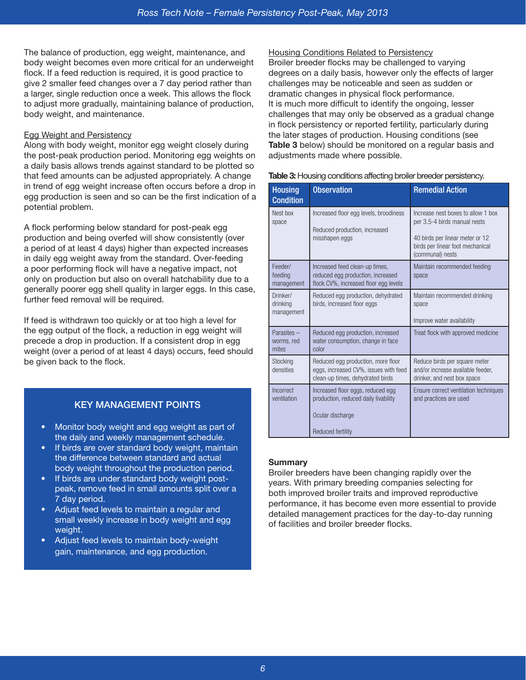The balance of production, egg weight, maintenance, and body weight becomes even more critical for an underweight flock. If a feed reduction is required, it is good practice to give 2 smaller feed changes over a 7 day period rather than a larger, single reduction once a week. This allows the flock to adjust more gradually, maintaining balance of production, body weight, and maintenance.

#### Egg Weight and Persistency

Along with body weight, monitor egg weight closely during the post-peak production period. Monitoring egg weights on a daily basis allows trends against standard to be plotted so that feed amounts can be adjusted appropriately. A change in trend of egg weight increase often occurs before a drop in egg production is seen and so can be the first indication of a potential problem.

A flock performing below standard for post-peak egg production and being overfed will show consistently (over a period of at least 4 days) higher than expected increases in daily egg weight away from the standard. Over-feeding a poor performing flock will have a negative impact, not only on production but also on overall hatchability due to a generally poorer egg shell quality in larger eggs. In this case, further feed removal will be required.

If feed is withdrawn too quickly or at too high a level for the egg output of the flock, a reduction in egg weight will precede a drop in production. If a consistent drop in egg weight (over a period of at least 4 days) occurs, feed should be given back to the flock.

### KEY MANAGEMENT POINTS

- Monitor body weight and egg weight as part of the daily and weekly management schedule.
- If birds are over standard body weight, maintain the difference between standard and actual body weight throughout the production period.
- If birds are under standard body weight postpeak, remove feed in small amounts split over a 7 day period.
- Adjust feed levels to maintain a regular and small weekly increase in body weight and egg weight.
- Adjust feed levels to maintain body-weight gain, maintenance, and egg production.

#### Housing Conditions Related to Persistency

Broiler breeder flocks may be challenged to varying degrees on a daily basis, however only the effects of larger challenges may be noticeable and seen as sudden or dramatic changes in physical flock performance. It is much more difficult to identify the ongoing, lesser challenges that may only be observed as a gradual change in flock persistency or reported fertility, particularly during the later stages of production. Housing conditions (see **Table 3** below) should be monitored on a regular basis and adjustments made where possible.

| Table 3: Housing conditions affecting broiler breeder persistency. |  |  |  |
|--------------------------------------------------------------------|--|--|--|
|                                                                    |  |  |  |

| <b>Housing</b><br><b>Condition</b> | <b>Observation</b>                                                                                                 | <b>Remedial Action</b>                                                                                                                                        |  |
|------------------------------------|--------------------------------------------------------------------------------------------------------------------|---------------------------------------------------------------------------------------------------------------------------------------------------------------|--|
| Nest box<br>space                  | Increased floor egg levels, broodiness<br>Reduced production, increased<br>misshapen eggs                          | Increase nest boxes to allow 1 box<br>per 3.5-4 birds manual nests<br>40 birds per linear meter or 12<br>birds per linear foot mechanical<br>(communal) nests |  |
| Feeder/<br>feeding<br>management   | Increased feed clean-up times,<br>reduced egg production, increased<br>flock CV%, increased floor egg levels       | Maintain recommended feeding<br>space                                                                                                                         |  |
| Drinker/<br>drinking<br>management | Reduced egg production, dehydrated<br>birds, increased floor eggs                                                  | Maintain recommended drinking<br>space<br>Improve water availability                                                                                          |  |
| Parasites -<br>worms, red<br>mites | Reduced egg production, increased<br>water consumption, change in face<br>color                                    | Treat flock with approved medicine                                                                                                                            |  |
| Stocking<br>densities              | Reduced egg production, more floor<br>eggs, increased CV%, issues with feed<br>clean-up times, dehydrated birds    | Reduce birds per square meter<br>and/or increase available feeder.<br>drinker, and nest box space                                                             |  |
| Incorrect<br>ventilation           | Increased floor eggs, reduced egg<br>production, reduced daily livability<br>Ocular discharge<br>Reduced fertility | Ensure correct ventilation techniques<br>and practices are used                                                                                               |  |

#### **Summary**

Broiler breeders have been changing rapidly over the years. With primary breeding companies selecting for both improved broiler traits and improved reproductive performance, it has become even more essential to provide detailed management practices for the day-to-day running of facilities and broiler breeder flocks.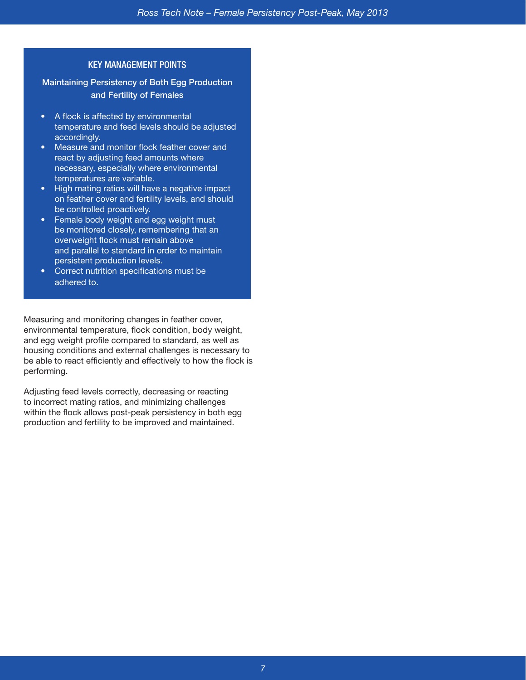#### KEY MANAGEMENT POINTS

Maintaining Persistency of Both Egg Production and Fertility of Females

- A flock is affected by environmental temperature and feed levels should be adjusted accordingly.
- Measure and monitor flock feather cover and react by adjusting feed amounts where necessary, especially where environmental temperatures are variable.
- High mating ratios will have a negative impact on feather cover and fertility levels, and should be controlled proactively.
- Female body weight and egg weight must be monitored closely, remembering that an overweight flock must remain above and parallel to standard in order to maintain persistent production levels.
- Correct nutrition specifications must be adhered to.

Measuring and monitoring changes in feather cover, environmental temperature, flock condition, body weight, and egg weight profile compared to standard, as well as housing conditions and external challenges is necessary to be able to react efficiently and effectively to how the flock is performing.

Adjusting feed levels correctly, decreasing or reacting to incorrect mating ratios, and minimizing challenges within the flock allows post-peak persistency in both egg production and fertility to be improved and maintained.